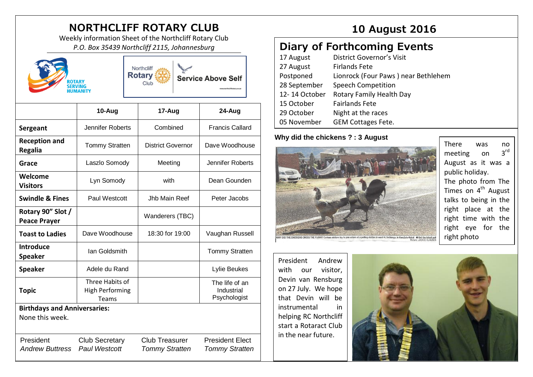# **NORTHCLIFF ROTARY CLUB 10 August 2016**

Weekly information Sheet of the Northcliff Rotary Club *P.O. Box 35439 Northcliff 2115, Johannesburg*



**Service Above Self** 

**10-Aug 17-Aug 24-Aug Sergeant** | Jennifer Roberts | Combined | Francis Callard **Reception and Regalia** Tommy Stratten District Governor Dave Woodhouse **Grace Laszlo Somody | Meeting | Jennifer Roberts Welcome Visitors** Lyn Somody | with | Dean Gounden **Swindle & Fines** Paul Westcott Jub Main Reef Peter Jacobs **Rotary 90" Slot / Peace Prayer** Wanderers (TBC) **Toast to Ladies** | Dave Woodhouse | 18:30 for 19:00 | Vaughan Russell **Introduce Speaker** Ian Goldsmith **Ian Tommy Stratten Speaker** | Adele du Rand | Lylie Beukes **Topic** Three Habits of High Performing Teams The life of an Industrial Psychologist **Birthdays and Anniversaries:**  None this week. President Club Secretary Club Treasurer President Elect *Andrew Buttress Paul Westcott Tommy Stratten Tommy Stratten*

## **Diary of Forthcoming Events**

| 17 August     | District Governor's Visit           |
|---------------|-------------------------------------|
| 27 August     | <b>Firlands Fete</b>                |
| Postponed     | Lionrock (Four Paws) near Bethlehem |
| 28 September  | <b>Speech Competition</b>           |
| 12-14 October | Rotary Family Health Day            |
| 15 October    | <b>Fairlands Fete</b>               |
| 29 October    | Night at the races                  |
| 05 November   | <b>GEM Cottages Fete.</b>           |

#### **Why did the chickens ? : 3 August**



There was no meeting on  $2^{\text{rd}}$ August as it was a public holiday. The photo from The Times on 4<sup>th</sup> August talks to being in the right place at the right time with the right eye for the right photo

President Andrew with our visitor, Devin van Rensburg on 27 July. We hope that Devin will be instrumental in helping RC Northcliff start a Rotaract Club in the near future.